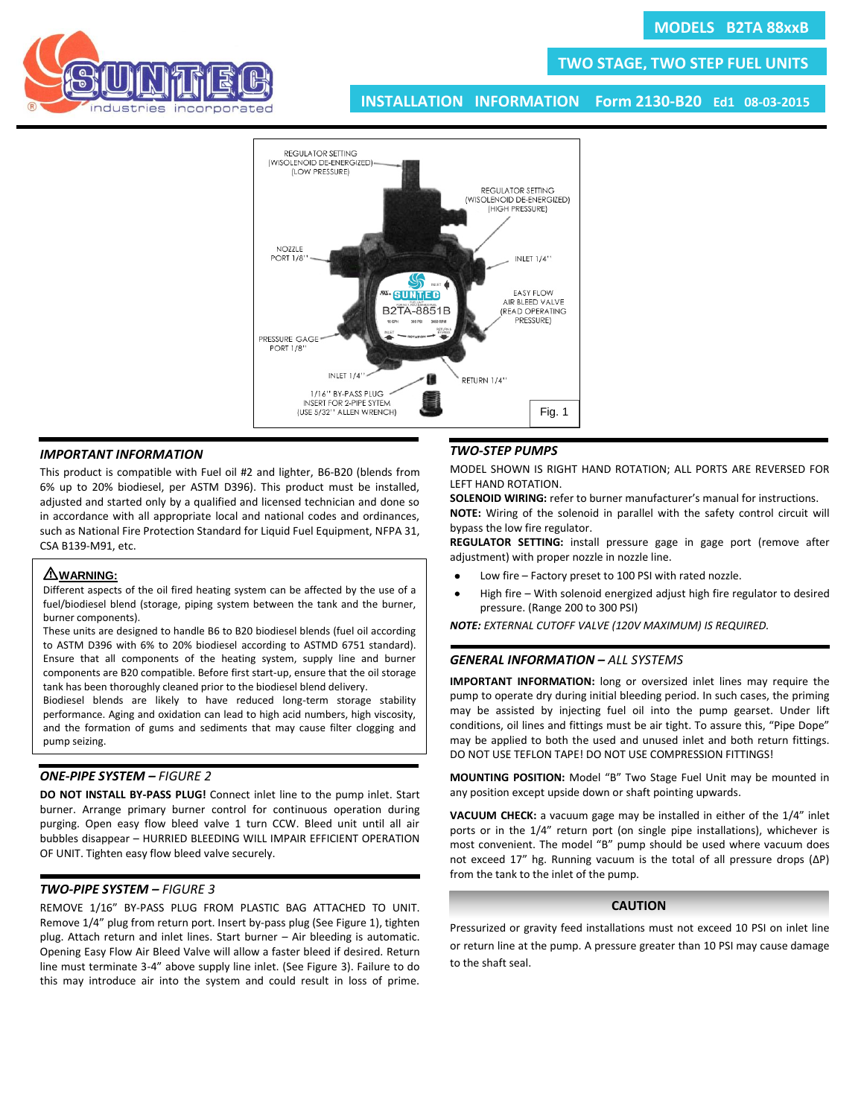

# **TWO STAGE, TWO STEP FUEL UNITS**

**INSTALLATION INFORMATION Form 2130-B20 Ed1 08-03-2015**



### *IMPORTANT INFORMATION*

This product is compatible with Fuel oil #2 and lighter, B6-B20 (blends from 6% up to 20% biodiesel, per ASTM D396). This product must be installed, adjusted and started only by a qualified and licensed technician and done so in accordance with all appropriate local and national codes and ordinances, such as National Fire Protection Standard for Liquid Fuel Equipment, NFPA 31, CSA B139-M91, etc.

## I **WARNING:**

Different aspects of the oil fired heating system can be affected by the use of a fuel/biodiesel blend (storage, piping system between the tank and the burner, burner components).

These units are designed to handle B6 to B20 biodiesel blends (fuel oil according to ASTM D396 with 6% to 20% biodiesel according to ASTMD 6751 standard). Ensure that all components of the heating system, supply line and burner components are B20 compatible. Before first start-up, ensure that the oil storage tank has been thoroughly cleaned prior to the biodiesel blend delivery.

Biodiesel blends are likely to have reduced long-term storage stability performance. Aging and oxidation can lead to high acid numbers, high viscosity, and the formation of gums and sediments that may cause filter clogging and pump seizing.

## *ONE-PIPE SYSTEM – FIGURE 2*

**DO NOT INSTALL BY-PASS PLUG!** Connect inlet line to the pump inlet. Start burner. Arrange primary burner control for continuous operation during purging. Open easy flow bleed valve 1 turn CCW. Bleed unit until all air bubbles disappear – HURRIED BLEEDING WILL IMPAIR EFFICIENT OPERATION OF UNIT. Tighten easy flow bleed valve securely.

## *TWO-PIPE SYSTEM – FIGURE 3*

REMOVE 1/16" BY-PASS PLUG FROM PLASTIC BAG ATTACHED TO UNIT. Remove 1/4" plug from return port. Insert by-pass plug (See Figure 1), tighten plug. Attach return and inlet lines. Start burner – Air bleeding is automatic. Opening Easy Flow Air Bleed Valve will allow a faster bleed if desired. Return line must terminate 3-4" above supply line inlet. (See Figure 3). Failure to do this may introduce air into the system and could result in loss of prime.

### *TWO-STEP PUMPS*

MODEL SHOWN IS RIGHT HAND ROTATION; ALL PORTS ARE REVERSED FOR LEFT HAND ROTATION.

**SOLENOID WIRING:** refer to burner manufacturer's manual for instructions. **NOTE:** Wiring of the solenoid in parallel with the safety control circuit will bypass the low fire regulator.

**REGULATOR SETTING:** install pressure gage in gage port (remove after adjustment) with proper nozzle in nozzle line.

- $\bullet$ Low fire – Factory preset to 100 PSI with rated nozzle.
- High fire With solenoid energized adjust high fire regulator to desired pressure. (Range 200 to 300 PSI)

*NOTE: EXTERNAL CUTOFF VALVE (120V MAXIMUM) IS REQUIRED.*

#### *GENERAL INFORMATION – ALL SYSTEMS*

**IMPORTANT INFORMATION:** long or oversized inlet lines may require the pump to operate dry during initial bleeding period. In such cases, the priming may be assisted by injecting fuel oil into the pump gearset. Under lift conditions, oil lines and fittings must be air tight. To assure this, "Pipe Dope" may be applied to both the used and unused inlet and both return fittings. DO NOT USE TEFLON TAPE! DO NOT USE COMPRESSION FITTINGS!

**MOUNTING POSITION:** Model "B" Two Stage Fuel Unit may be mounted in any position except upside down or shaft pointing upwards.

**VACUUM CHECK:** a vacuum gage may be installed in either of the 1/4" inlet ports or in the 1/4" return port (on single pipe installations), whichever is most convenient. The model "B" pump should be used where vacuum does not exceed 17" hg. Running vacuum is the total of all pressure drops (ΔP) from the tank to the inlet of the pump.

## **CAUTION**

Pressurized or gravity feed installations must not exceed 10 PSI on inlet line or return line at the pump. A pressure greater than 10 PSI may cause damage to the shaft seal.